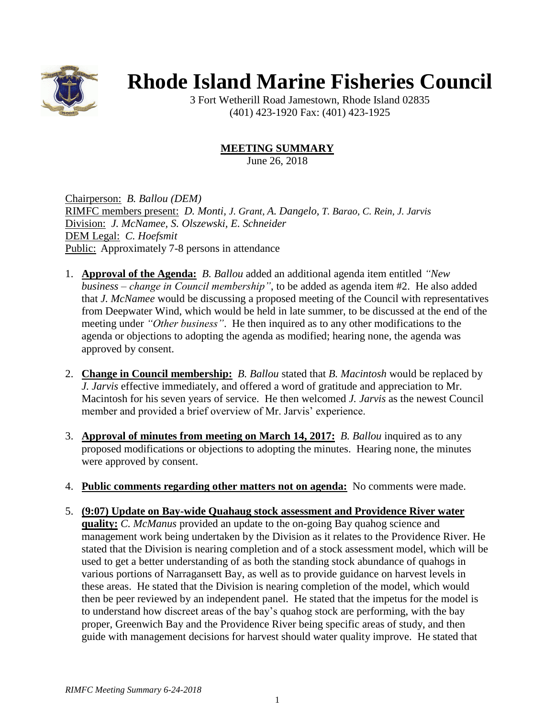

## **Rhode Island Marine Fisheries Council**

3 Fort Wetherill Road Jamestown, Rhode Island 02835 (401) 423-1920 Fax: (401) 423-1925

## **MEETING SUMMARY**

June 26, 2018

Chairperson: *B. Ballou (DEM)* RIMFC members present: *D. Monti, J. Grant, A. Dangelo, T. Barao, C. Rein, J. Jarvis* Division: *J. McNamee, S. Olszewski, E. Schneider* DEM Legal: *C. Hoefsmit* Public: Approximately 7-8 persons in attendance

- 1. **Approval of the Agenda:** *B. Ballou* added an additional agenda item entitled *"New business – change in Council membership"*, to be added as agenda item #2. He also added that *J. McNamee* would be discussing a proposed meeting of the Council with representatives from Deepwater Wind, which would be held in late summer, to be discussed at the end of the meeting under *"Other business"*. He then inquired as to any other modifications to the agenda or objections to adopting the agenda as modified; hearing none, the agenda was approved by consent.
- 2. **Change in Council membership:** *B. Ballou* stated that *B. Macintosh* would be replaced by *J. Jarvis* effective immediately, and offered a word of gratitude and appreciation to Mr. Macintosh for his seven years of service. He then welcomed *J. Jarvis* as the newest Council member and provided a brief overview of Mr. Jarvis' experience.
- 3. **Approval of minutes from meeting on March 14, 2017:** *B. Ballou* inquired as to any proposed modifications or objections to adopting the minutes. Hearing none, the minutes were approved by consent.
- 4. **Public comments regarding other matters not on agenda:** No comments were made.
- 5. **(9:07) Update on Bay-wide Quahaug stock assessment and Providence River water quality:** *C. McManus* provided an update to the on-going Bay quahog science and management work being undertaken by the Division as it relates to the Providence River. He stated that the Division is nearing completion and of a stock assessment model, which will be used to get a better understanding of as both the standing stock abundance of quahogs in various portions of Narragansett Bay, as well as to provide guidance on harvest levels in these areas. He stated that the Division is nearing completion of the model, which would then be peer reviewed by an independent panel. He stated that the impetus for the model is to understand how discreet areas of the bay's quahog stock are performing, with the bay proper, Greenwich Bay and the Providence River being specific areas of study, and then guide with management decisions for harvest should water quality improve. He stated that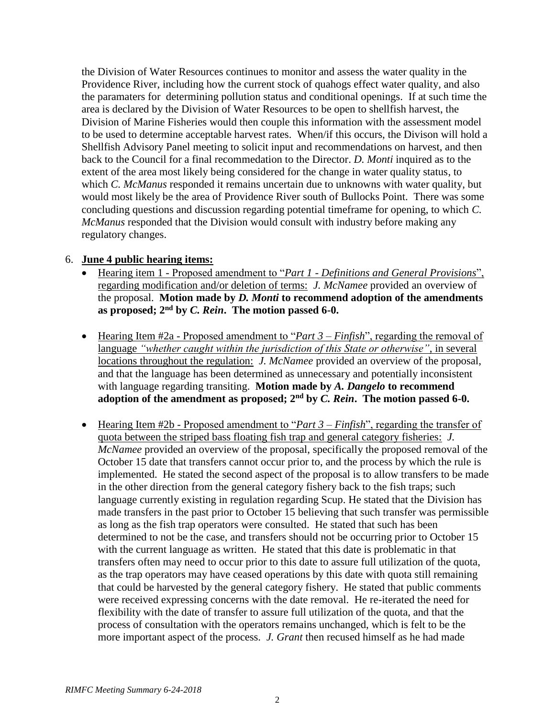the Division of Water Resources continues to monitor and assess the water quality in the Providence River, including how the current stock of quahogs effect water quality, and also the paramaters for determining pollution status and conditional openings. If at such time the area is declared by the Division of Water Resources to be open to shellfish harvest, the Division of Marine Fisheries would then couple this information with the assessment model to be used to determine acceptable harvest rates. When/if this occurs, the Divison will hold a Shellfish Advisory Panel meeting to solicit input and recommendations on harvest, and then back to the Council for a final recommedation to the Director. *D. Monti* inquired as to the extent of the area most likely being considered for the change in water quality status, to which *C. McManus* responded it remains uncertain due to unknowns with water quality, but would most likely be the area of Providence River south of Bullocks Point. There was some concluding questions and discussion regarding potential timeframe for opening, to which *C. McManus* responded that the Division would consult with industry before making any regulatory changes.

## 6. **June 4 public hearing items:**

- Hearing item 1 Proposed amendment to "*Part 1 - Definitions and General Provisions*", regarding modification and/or deletion of terms: *J. McNamee* provided an overview of the proposal. **Motion made by** *D. Monti* **to recommend adoption of the amendments as proposed; 2nd by** *C. Rein***. The motion passed 6-0.**
- Hearing Item #2a Proposed amendment to "*Part 3 Finfish*", regarding the removal of language *"whether caught within the jurisdiction of this State or otherwise"*, in several locations throughout the regulation: *J. McNamee* provided an overview of the proposal, and that the language has been determined as unnecessary and potentially inconsistent with language regarding transiting. **Motion made by** *A. Dangelo* **to recommend adoption of the amendment as proposed; 2nd by** *C. Rein***. The motion passed 6-0.**
- Hearing Item #2b Proposed amendment to "*Part 3 Finfish*", regarding the transfer of quota between the striped bass floating fish trap and general category fisheries: *J. McNamee* provided an overview of the proposal, specifically the proposed removal of the October 15 date that transfers cannot occur prior to, and the process by which the rule is implemented. He stated the second aspect of the proposal is to allow transfers to be made in the other direction from the general category fishery back to the fish traps; such language currently existing in regulation regarding Scup. He stated that the Division has made transfers in the past prior to October 15 believing that such transfer was permissible as long as the fish trap operators were consulted. He stated that such has been determined to not be the case, and transfers should not be occurring prior to October 15 with the current language as written. He stated that this date is problematic in that transfers often may need to occur prior to this date to assure full utilization of the quota, as the trap operators may have ceased operations by this date with quota still remaining that could be harvested by the general category fishery. He stated that public comments were received expressing concerns with the date removal. He re-iterated the need for flexibility with the date of transfer to assure full utilization of the quota, and that the process of consultation with the operators remains unchanged, which is felt to be the more important aspect of the process. *J. Grant* then recused himself as he had made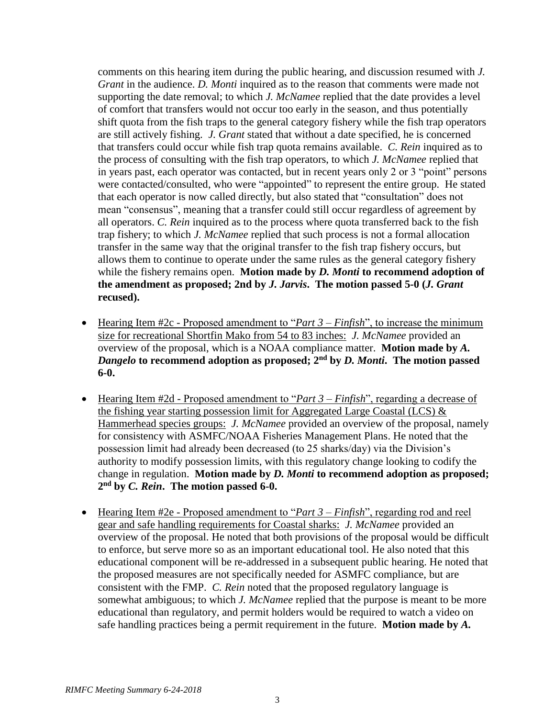comments on this hearing item during the public hearing, and discussion resumed with *J. Grant* in the audience. *D. Monti* inquired as to the reason that comments were made not supporting the date removal; to which *J. McNamee* replied that the date provides a level of comfort that transfers would not occur too early in the season, and thus potentially shift quota from the fish traps to the general category fishery while the fish trap operators are still actively fishing. *J. Grant* stated that without a date specified, he is concerned that transfers could occur while fish trap quota remains available. *C. Rein* inquired as to the process of consulting with the fish trap operators, to which *J. McNamee* replied that in years past, each operator was contacted, but in recent years only 2 or 3 "point" persons were contacted/consulted, who were "appointed" to represent the entire group. He stated that each operator is now called directly, but also stated that "consultation" does not mean "consensus", meaning that a transfer could still occur regardless of agreement by all operators. *C. Rein* inquired as to the process where quota transferred back to the fish trap fishery; to which *J. McNamee* replied that such process is not a formal allocation transfer in the same way that the original transfer to the fish trap fishery occurs, but allows them to continue to operate under the same rules as the general category fishery while the fishery remains open. **Motion made by** *D. Monti* **to recommend adoption of the amendment as proposed; 2nd by** *J. Jarvis***. The motion passed 5-0 (***J. Grant* **recused).**

- Hearing Item #2c Proposed amendment to "*Part 3 Finfish*", to increase the minimum size for recreational Shortfin Mako from 54 to 83 inches: *J. McNamee* provided an overview of the proposal, which is a NOAA compliance matter. **Motion made by** *A. Dangelo* **to recommend adoption as proposed; 2nd by** *D. Monti***. The motion passed 6-0.**
- Hearing Item #2d Proposed amendment to "*Part 3 Finfish*", regarding a decrease of the fishing year starting possession limit for Aggregated Large Coastal (LCS) & Hammerhead species groups: *J. McNamee* provided an overview of the proposal, namely for consistency with ASMFC/NOAA Fisheries Management Plans. He noted that the possession limit had already been decreased (to 25 sharks/day) via the Division's authority to modify possession limits, with this regulatory change looking to codify the change in regulation. **Motion made by** *D. Monti* **to recommend adoption as proposed; 2 nd by** *C. Rein***. The motion passed 6-0.**
- Hearing Item #2e Proposed amendment to "*Part 3 Finfish*", regarding rod and reel gear and safe handling requirements for Coastal sharks: *J. McNamee* provided an overview of the proposal. He noted that both provisions of the proposal would be difficult to enforce, but serve more so as an important educational tool. He also noted that this educational component will be re-addressed in a subsequent public hearing. He noted that the proposed measures are not specifically needed for ASMFC compliance, but are consistent with the FMP. *C. Rein* noted that the proposed regulatory language is somewhat ambiguous; to which *J. McNamee* replied that the purpose is meant to be more educational than regulatory, and permit holders would be required to watch a video on safe handling practices being a permit requirement in the future. **Motion made by** *A.*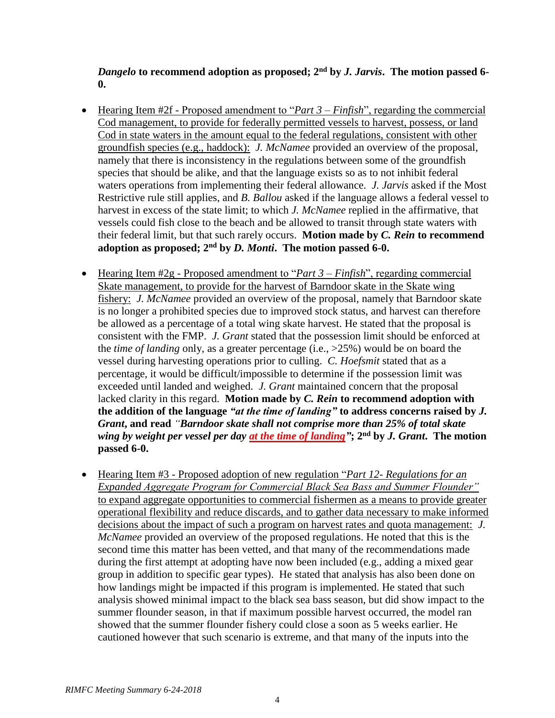*Dangelo* **to recommend adoption as proposed; 2nd by** *J. Jarvis***. The motion passed 6- 0.**

- Hearing Item #2f Proposed amendment to "*Part 3 Finfish*", regarding the commercial Cod management, to provide for federally permitted vessels to harvest, possess, or land Cod in state waters in the amount equal to the federal regulations, consistent with other groundfish species (e.g., haddock): *J. McNamee* provided an overview of the proposal, namely that there is inconsistency in the regulations between some of the groundfish species that should be alike, and that the language exists so as to not inhibit federal waters operations from implementing their federal allowance. *J. Jarvis* asked if the Most Restrictive rule still applies, and *B. Ballou* asked if the language allows a federal vessel to harvest in excess of the state limit; to which *J. McNamee* replied in the affirmative, that vessels could fish close to the beach and be allowed to transit through state waters with their federal limit, but that such rarely occurs. **Motion made by** *C. Rein* **to recommend adoption as proposed; 2nd by** *D. Monti***. The motion passed 6-0.**
- Hearing Item #2g Proposed amendment to "*Part 3 Finfish*", regarding commercial Skate management, to provide for the harvest of Barndoor skate in the Skate wing fishery: *J. McNamee* provided an overview of the proposal, namely that Barndoor skate is no longer a prohibited species due to improved stock status, and harvest can therefore be allowed as a percentage of a total wing skate harvest. He stated that the proposal is consistent with the FMP. *J. Grant* stated that the possession limit should be enforced at the *time of landing* only, as a greater percentage (i.e., >25%) would be on board the vessel during harvesting operations prior to culling. *C. Hoefsmit* stated that as a percentage, it would be difficult/impossible to determine if the possession limit was exceeded until landed and weighed. *J. Grant* maintained concern that the proposal lacked clarity in this regard. **Motion made by** *C. Rein* **to recommend adoption with the addition of the language** *"at the time of landing"* **to address concerns raised by** *J. Grant***, and read** *"Barndoor skate shall not comprise more than 25% of total skate wing by weight per vessel per day at the time of landing"***; 2nd by** *J. Grant***. The motion passed 6-0.**
- Hearing Item #3 Proposed adoption of new regulation "*Part 12- Regulations for an Expanded Aggregate Program for Commercial Black Sea Bass and Summer Flounder"* to expand aggregate opportunities to commercial fishermen as a means to provide greater operational flexibility and reduce discards, and to gather data necessary to make informed decisions about the impact of such a program on harvest rates and quota management: *J. McNamee* provided an overview of the proposed regulations. He noted that this is the second time this matter has been vetted, and that many of the recommendations made during the first attempt at adopting have now been included (e.g., adding a mixed gear group in addition to specific gear types). He stated that analysis has also been done on how landings might be impacted if this program is implemented. He stated that such analysis showed minimal impact to the black sea bass season, but did show impact to the summer flounder season, in that if maximum possible harvest occurred, the model ran showed that the summer flounder fishery could close a soon as 5 weeks earlier. He cautioned however that such scenario is extreme, and that many of the inputs into the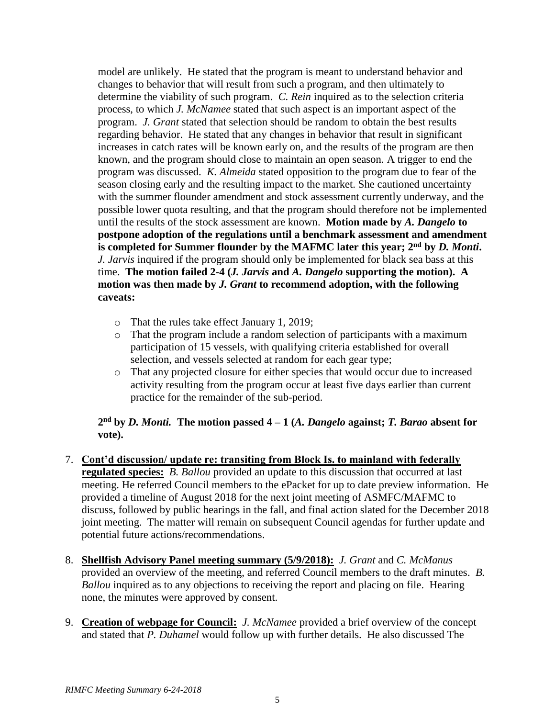model are unlikely. He stated that the program is meant to understand behavior and changes to behavior that will result from such a program, and then ultimately to determine the viability of such program. *C. Rein* inquired as to the selection criteria process, to which *J. McNamee* stated that such aspect is an important aspect of the program. *J. Grant* stated that selection should be random to obtain the best results regarding behavior. He stated that any changes in behavior that result in significant increases in catch rates will be known early on, and the results of the program are then known, and the program should close to maintain an open season. A trigger to end the program was discussed. *K. Almeida* stated opposition to the program due to fear of the season closing early and the resulting impact to the market. She cautioned uncertainty with the summer flounder amendment and stock assessment currently underway, and the possible lower quota resulting, and that the program should therefore not be implemented until the results of the stock assessment are known. **Motion made by** *A. Dangelo* **to postpone adoption of the regulations until a benchmark assessment and amendment**  is completed for Summer flounder by the MAFMC later this year; 2<sup>nd</sup> by *D. Monti*. *J. Jarvis* inquired if the program should only be implemented for black sea bass at this time. **The motion failed 2-4 (***J. Jarvis* **and** *A. Dangelo* **supporting the motion). A motion was then made by** *J. Grant* **to recommend adoption, with the following caveats:**

- o That the rules take effect January 1, 2019;
- o That the program include a random selection of participants with a maximum participation of 15 vessels, with qualifying criteria established for overall selection, and vessels selected at random for each gear type;
- o That any projected closure for either species that would occur due to increased activity resulting from the program occur at least five days earlier than current practice for the remainder of the sub-period.

## **2 nd by** *D. Monti.* **The motion passed 4 – 1 (***A. Dangelo* **against;** *T. Barao* **absent for vote).**

- 7. **Cont'd discussion/ update re: transiting from Block Is. to mainland with federally regulated species:** *B. Ballou* provided an update to this discussion that occurred at last meeting. He referred Council members to the ePacket for up to date preview information. He provided a timeline of August 2018 for the next joint meeting of ASMFC/MAFMC to discuss, followed by public hearings in the fall, and final action slated for the December 2018 joint meeting. The matter will remain on subsequent Council agendas for further update and potential future actions/recommendations.
- 8. **Shellfish Advisory Panel meeting summary (5/9/2018):** *J. Grant* and *C. McManus* provided an overview of the meeting, and referred Council members to the draft minutes. *B. Ballou* inquired as to any objections to receiving the report and placing on file. Hearing none, the minutes were approved by consent.
- 9. **Creation of webpage for Council:** *J. McNamee* provided a brief overview of the concept and stated that *P. Duhamel* would follow up with further details. He also discussed The